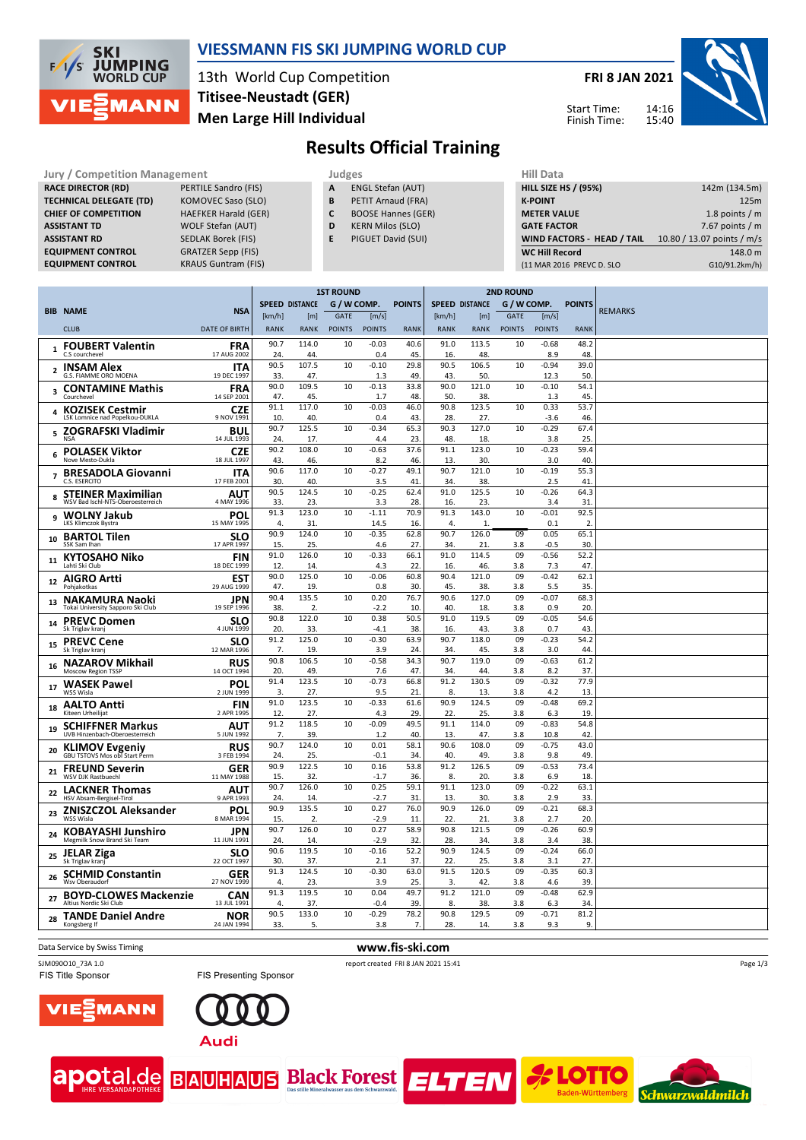

## **VIESSMANN FIS SKI JUMPING WORLD CUP**

13th World Cup Competition **Men Large Hill Individual Titisee-Neustadt (GER)**

**FRI 8 JAN 2021**



Start Time: Finish Time:

# **Results Official Training**

| <b>Jury / Competition Management</b> |                             |   | Judges                    |  |                    |  |  |  |
|--------------------------------------|-----------------------------|---|---------------------------|--|--------------------|--|--|--|
| <b>RACE DIRECTOR (RD)</b>            | PERTILE Sandro (FIS)        | A | <b>ENGL Stefan (AUT)</b>  |  | <b>HILL SIZE I</b> |  |  |  |
| <b>TECHNICAL DELEGATE (TD)</b>       | KOMOVEC Saso (SLO)          | B | PETIT Arnaud (FRA)        |  | <b>K-POINT</b>     |  |  |  |
| <b>CHIEF OF COMPETITION</b>          | <b>HAEFKER Harald (GER)</b> | C | <b>BOOSE Hannes (GER)</b> |  | <b>METER VA</b>    |  |  |  |
| <b>ASSISTANT TD</b>                  | <b>WOLF Stefan (AUT)</b>    | D | <b>KERN Milos (SLO)</b>   |  | <b>GATE FACT</b>   |  |  |  |
| <b>ASSISTANT RD</b>                  | <b>SEDLAK Borek (FIS)</b>   | E | PIGUET David (SUI)        |  | <b>WIND FAC</b>    |  |  |  |
| <b>EQUIPMENT CONTROL</b>             | <b>GRATZER Sepp (FIS)</b>   |   |                           |  | <b>WC Hill Re</b>  |  |  |  |
| <b>EQUIPMENT CONTROL</b>             | <b>KRAUS Guntram (FIS)</b>  |   |                           |  | (11 MAR 20)        |  |  |  |

- **A** ENGL Stefan (AUT)
- **B** PETIT Arnaud (FRA) **C** BOOSE Hannes (GER)
- **D** KERN Milos (SLO)
- **E** PIGUET David (SUI)

| niil Ddtd                         |                            |
|-----------------------------------|----------------------------|
| <b>HILL SIZE HS / (95%)</b>       | 142m (134.5m)              |
| <b>K-POINT</b>                    | 125m                       |
| <b>METER VALUE</b>                | 1.8 points $/m$            |
| <b>GATE FACTOR</b>                | 7.67 points $/m$           |
| <b>WIND FACTORS - HEAD / TAIL</b> | 10.80 / 13.07 points / m/s |
| <b>WC Hill Record</b>             | 148.0 m                    |
| (11 MAR 2016 PREVC D. SLO         | G10/91.2km/h)              |
|                                   |                            |

|                |                                                                |                           | <b>1ST ROUND</b> |                       |               |                 |               | <b>2ND ROUND</b> |                       |               |                 |               |                |
|----------------|----------------------------------------------------------------|---------------------------|------------------|-----------------------|---------------|-----------------|---------------|------------------|-----------------------|---------------|-----------------|---------------|----------------|
|                | <b>BIB NAME</b>                                                | <b>NSA</b>                |                  | <b>SPEED DISTANCE</b> | G / W COMP.   |                 | <b>POINTS</b> |                  | <b>SPEED DISTANCE</b> | G / W COMP.   |                 | <b>POINTS</b> | <b>REMARKS</b> |
|                |                                                                |                           | [km/h]           | [m]                   | <b>GATE</b>   | [m/s]           |               | [km/h]           | [m]                   | <b>GATE</b>   | [m/s]           |               |                |
|                | <b>CLUB</b>                                                    | <b>DATE OF BIRTH</b>      | <b>RANK</b>      | <b>RANK</b>           | <b>POINTS</b> | <b>POINTS</b>   | <b>RANK</b>   | <b>RANK</b>      | <b>RANK</b>           | <b>POINTS</b> | <b>POINTS</b>   | <b>RANK</b>   |                |
|                | <b>FOUBERT Valentin</b><br>C.S courchevel                      | <b>FRA</b><br>17 AUG 2002 | 90.7<br>24.      | 114.0<br>44.          | 10            | $-0.03$<br>0.4  | 40.6<br>45.   | 91.0<br>16.      | 113.5<br>48.          | 10            | $-0.68$<br>8.9  | 48.2<br>48.   |                |
| $\overline{2}$ | <b>INSAM Alex</b>                                              | <b>ITA</b>                | 90.5             | 107.5                 | 10            | $-0.10$         | 29.8          | 90.5             | 106.5                 | 10            | $-0.94$         | 39.0          |                |
|                | G.S. FIAMME ORO MOENA                                          | 19 DEC 1997               | 33.              | 47.                   |               | 1.3             | 49.           | 43.              | 50                    |               | 12.3            | 50            |                |
| 3              | <b>CONTAMINE Mathis</b><br>Courchevel                          | <b>FRA</b><br>14 SEP 2001 | 90.0<br>47.      | 109.5<br>45.          | 10            | $-0.13$<br>1.7  | 33.8<br>48.   | 90.0<br>50.      | 121.0<br>38.          | 10            | $-0.10$<br>1.3  | 54.1<br>45.   |                |
|                | <b>KOZISEK Cestmir</b><br>LSK Lomnice nad Popelkou-DUKLA       | <b>CZE</b><br>9 NOV 1991  | 91.1<br>10.      | 117.0<br>40.          | 10            | $-0.03$<br>0.4  | 46.0<br>43.   | 90.8<br>28.      | 123.5<br>27.          | 10            | 0.33<br>$-3.6$  | 53.7<br>46.   |                |
| 5              | ZOGRAFSKI Vladimir                                             | BUL<br>14 JUL 1993        | 90.7<br>24.      | 125.5<br>17.          | 10            | $-0.34$<br>4.4  | 65.3<br>23.   | 90.3<br>48.      | 127.0<br>18.          | 10            | $-0.29$<br>3.8  | 67.4<br>25.   |                |
| 6              | <b>POLASEK Viktor</b><br>Nove Mesto-Dukla                      | <b>CZE</b><br>18 JUL 1997 | 90.2<br>43       | 108.0<br>46.          | 10            | $-0.63$<br>8.2  | 37.6<br>46.   | 91.1<br>13.      | 123.0<br>30           | 10            | $-0.23$<br>3.0  | 59.4<br>40    |                |
| $\overline{7}$ | <b>BRESADOLA Giovanni</b><br>C.S. ESERCITO                     | <b>ITA</b><br>17 FEB 2001 | 90.6<br>30.      | 117.0<br>40.          | 10            | $-0.27$<br>3.5  | 49.1<br>41.   | 90.7<br>34.      | 121.0<br>38.          | 10            | $-0.19$<br>2.5  | 55.3<br>41    |                |
| 8              | <b>STEINER Maximilian</b><br>WSV Bad Ischl-NTS-Oberoesterreich | AUT<br>4 MAY 1996         | 90.5<br>33.      | 124.5<br>23.          | 10            | $-0.25$<br>3.3  | 62.4<br>28.   | 91.0<br>16.      | 125.5<br>23.          | 10            | $-0.26$<br>3.4  | 64.3<br>31    |                |
| 9              | <b>WOLNY Jakub</b><br>LKS Klimczok Bystra                      | POL<br>15 MAY 1995        | 91.3<br>4.       | 123.0<br>31           | 10            | $-1.11$<br>14.5 | 70.9<br>16.   | 91.3<br>4.       | 143.0<br>$\mathbf{1}$ | 10            | $-0.01$<br>0.1  | 92.5<br>2.    |                |
| 10             | <b>BARTOL Tilen</b><br>SSK Sam Ihan                            | <b>SLO</b><br>17 APR 1997 | 90.9<br>15.      | 124.0<br>25.          | 10            | $-0.35$<br>4.6  | 62.8<br>27.   | 90.7<br>34.      | 126.0<br>21           | 09<br>3.8     | 0.05<br>$-0.5$  | 65.1<br>30.   |                |
| 11             | <b>KYTOSAHO Niko</b>                                           | <b>FIN</b>                | 91.0             | 126.0                 | 10            | $-0.33$         | 66.1          | 91.0             | 114.5                 | 09            | $-0.56$         | 52.2          |                |
|                | Lahti Ski Club                                                 | 18 DEC 1999               | 12.<br>90.0      | 14<br>125.0           | 10            | 4.3<br>$-0.06$  | 22.<br>60.8   | 16.<br>90.4      | 46.<br>121.0          | 3.8<br>09     | 7.3<br>$-0.42$  | 47.<br>62.1   |                |
| 12             | <b>AIGRO Artti</b><br>Pohjakotkas                              | EST<br>29 AUG 1999        | 47.              | 19.                   |               | 0.8             | 30.           | 45.              | 38.                   | 3.8           | 5.5             | 35.           |                |
| 13             | <b>NAKAMURA Naoki</b><br>Tokai University Sapporo Ski Club     | <b>JPN</b><br>19 SEP 1996 | 90.4<br>38       | 135.5<br>2.           | 10            | 0.20<br>$-2.2$  | 76.7<br>10.   | 90.6<br>40.      | 127.0<br>18.          | 09<br>3.8     | $-0.07$<br>0.9  | 68.3<br>20    |                |
| 14             | <b>PREVC Domen</b><br>Sk Triglav kranj                         | <b>SLO</b><br>4 JUN 1999  | 90.8<br>20.      | 122.0<br>33.          | 10            | 0.38<br>$-4.1$  | 50.5<br>38.   | 91.0<br>16.      | 119.5<br>43.          | 09<br>3.8     | $-0.05$<br>0.7  | 54.6<br>43.   |                |
| 15             | <b>PREVC Cene</b><br>Sk Triglav kranj                          | <b>SLO</b><br>12 MAR 1996 | 91.2<br>7.       | 125.0<br>19.          | 10            | $-0.30$<br>3.9  | 63.9<br>24.   | 90.7<br>34.      | 118.0<br>45.          | 09<br>3.8     | $-0.23$<br>3.0  | 54.2<br>44    |                |
| 16             | <b>NAZAROV Mikhail</b><br>Moscow Region TSSP                   | <b>RUS</b><br>14 OCT 1994 | 90.8<br>20.      | 106.5<br>49.          | 10            | $-0.58$<br>7.6  | 34.3<br>47.   | 90.7<br>34.      | 119.0<br>44.          | 09<br>3.8     | $-0.63$<br>8.2  | 61.2<br>37.   |                |
| 17             | <b>WASEK Pawel</b><br>WSS Wisla                                | POL<br>2 JUN 1999         | 91.4<br>3.       | 123.5<br>27.          | 10            | $-0.73$<br>9.5  | 66.8<br>21.   | 91.2<br>8.       | 130.5<br>13.          | 09<br>3.8     | $-0.32$<br>4.2  | 77.9<br>13.   |                |
| 18             | <b>AALTO Antti</b><br>Kiteen Urheilijat                        | <b>FIN</b><br>2 APR 1995  | 91.0<br>12       | 123.5<br>27           | 10            | $-0.33$<br>4.3  | 61.6<br>29.   | 90.9<br>22.      | 124.5<br>25.          | 09<br>3.8     | $-0.48$<br>6.3  | 69.2<br>19    |                |
| 19             | <b>SCHIFFNER Markus</b><br>UVB Hinzenbach-Oberoesterreich      | AUT<br>5 JUN 1992         | 91.2<br>7.       | 118.5<br>39.          | 10            | $-0.09$<br>1.2  | 49.5<br>40.   | 91.1<br>13.      | 114.0<br>47.          | 09<br>3.8     | $-0.83$<br>10.8 | 54.8<br>42    |                |
| 20             | <b>KLIMOV Evgeniy</b><br>GBU TSTOVS Mos obl Start Perm         | <b>RUS</b><br>3 FEB 1994  | 90.7<br>24       | 124.0<br>25.          | 10            | 0.01<br>$-0.1$  | 58.1<br>34.   | 90.6<br>40.      | 108.0<br>49.          | 09<br>3.8     | $-0.75$<br>9.8  | 43.0<br>49    |                |
| 21             | <b>FREUND Severin</b><br>WSV DIK Rastbuechl                    | GER<br>11 MAY 1988        | 90.9<br>15.      | 122.5<br>32           | 10            | 0.16<br>$-1.7$  | 53.8<br>36.   | 91.2<br>8.       | 126.5<br>20           | 09<br>3.8     | $-0.53$<br>6.9  | 73.4<br>18.   |                |
| 22             | <b>LACKNER Thomas</b><br>HSV Absam-Bergisel-Tirol              | <b>AUT</b><br>9 APR 1993  | 90.7<br>24.      | 126.0<br>14.          | 10            | 0.25<br>$-2.7$  | 59.1<br>31    | 91.1<br>13.      | 123.0<br>30.          | 09<br>3.8     | $-0.22$<br>2.9  | 63.1<br>33.   |                |
| 23             | <b>ZNISZCZOL Aleksander</b><br>WSS Wisla                       | POL<br>8 MAR 1994         | 90.9<br>15.      | 135.5<br>2.           | 10            | 0.27<br>$-2.9$  | 76.0<br>11.   | 90.9<br>22.      | 126.0<br>21           | 09<br>3.8     | $-0.21$<br>2.7  | 68.3<br>20    |                |
| 24             | <b>KOBAYASHI Junshiro</b><br>Megmilk Snow Brand Ski Team       | <b>JPN</b><br>11 JUN 1991 | 90.7<br>24.      | 126.0<br>14.          | 10            | 0.27<br>$-2.9$  | 58.9<br>32.   | 90.8<br>28.      | 121.5<br>34.          | 09<br>3.8     | $-0.26$<br>3.4  | 60.9<br>38.   |                |
| 25             | <b>JELAR Ziga</b><br>Sk Triglav krani                          | <b>SLO</b><br>22 OCT 1997 | 90.6<br>30.      | 119.5<br>37.          | 10            | $-0.16$<br>2.1  | 52.2<br>37.   | 90.9<br>22.      | 124.5<br>25.          | 09<br>3.8     | $-0.24$<br>3.1  | 66.0<br>27.   |                |
| 26             | <b>SCHMID Constantin</b><br>Wsv Oberaudorf                     | <b>GER</b><br>27 NOV 1999 | 91.3<br>4.       | 124.5<br>23.          | 10            | $-0.30$<br>3.9  | 63.0<br>25.   | 91.5<br>3.       | 120.5<br>42.          | 09<br>3.8     | $-0.35$<br>4.6  | 60.3<br>39.   |                |
| 27             | <b>BOYD-CLOWES Mackenzie</b><br>Altius Nordic Ski Club         | <b>CAN</b><br>13 JUL 1991 | 91.3<br>4.       | 119.5<br>37.          | 10            | 0.04<br>$-0.4$  | 49.7<br>39.   | 91.2<br>8.       | 121.0<br>38.          | 09<br>3.8     | $-0.48$<br>6.3  | 62.9<br>34.   |                |
| 28             | <b>TANDE Daniel Andre</b><br>Kongsberg If                      | <b>NOR</b><br>24 JAN 1994 | 90.5<br>33.      | 133.0<br>5.           | 10            | $-0.29$<br>3.8  | 78.2<br>7.    | 90.8<br>28.      | 129.5<br>14.          | 09<br>3.8     | $-0.71$<br>9.3  | 81.2<br>9.    |                |
|                |                                                                |                           |                  |                       |               |                 |               |                  |                       |               |                 |               |                |

Data Service by Swiss Timing **www.fis-ski.com** 

SJM090010\_73A 1.0 report created FRI 8 JAN 2021 15:41<br>
FIS Title Sponsor **FIS Presenting Sponsor** FIS PORTED FIS TITLE SPONS FIS

**ELTEN** 

FIS Presenting Sponsor











Page 1/3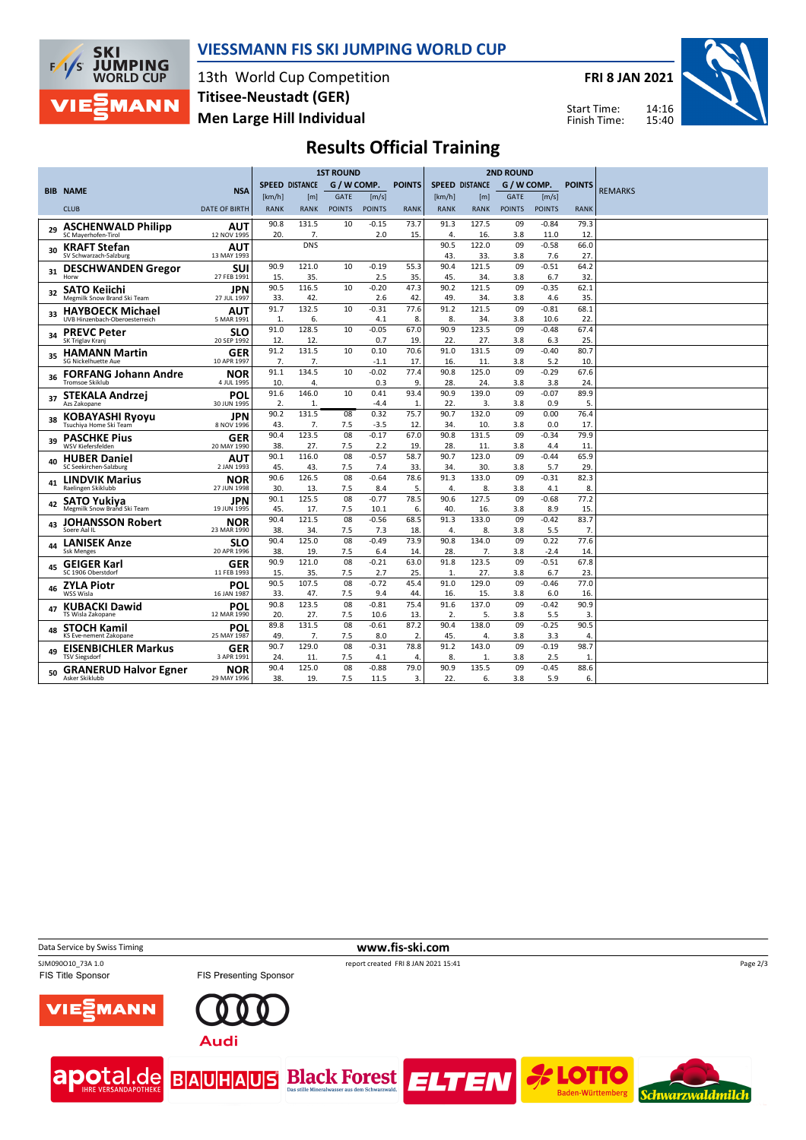

## **VIESSMANN FIS SKI JUMPING WORLD CUP**

13th World Cup Competition **Men Large Hill Individual Titisee-Neustadt (GER)**

**FRI 8 JAN 2021**



Start Time: Finish Time:

# **Results Official Training**

|    |                                                           |                           |                       | <b>1ST ROUND</b> | <b>2ND ROUND</b> |                 |               |                       |              |               |                 |               |                |
|----|-----------------------------------------------------------|---------------------------|-----------------------|------------------|------------------|-----------------|---------------|-----------------------|--------------|---------------|-----------------|---------------|----------------|
|    |                                                           |                           | <b>SPEED DISTANCE</b> |                  | G / W COMP.      |                 | <b>POINTS</b> | <b>SPEED DISTANCE</b> |              | G / W COMP.   |                 | <b>POINTS</b> |                |
|    | <b>BIB NAME</b>                                           | <b>NSA</b>                | [km/h]                | [m]              | <b>GATE</b>      | [m/s]           |               | [km/h]                | [m]          | <b>GATE</b>   | [m/s]           |               | <b>REMARKS</b> |
|    | <b>CLUB</b>                                               | <b>DATE OF BIRTH</b>      | <b>RANK</b>           | <b>RANK</b>      | <b>POINTS</b>    | <b>POINTS</b>   | <b>RANK</b>   | <b>RANK</b>           | <b>RANK</b>  | <b>POINTS</b> | <b>POINTS</b>   | <b>RANK</b>   |                |
| 29 | <b>ASCHENWALD Philipp</b>                                 | <b>AUT</b>                | 90.8                  | 131.5            | 10               | $-0.15$         | 73.7          | 91.3                  | 127.5        | 09            | $-0.84$         | 79.3          |                |
|    | SC Mayerhofen-Tirol                                       | 12 NOV 1995               | 20.                   | 7.               |                  | 2.0             | 15.           | 4.                    | 16.          | 3.8           | 11.0            | 12.           |                |
| 30 | <b>KRAFT Stefan</b><br>SV Schwarzach-Salzburg             | <b>AUT</b><br>13 MAY 1993 |                       | <b>DNS</b>       |                  |                 |               | 90.5<br>43.           | 122.0<br>33. | 09<br>3.8     | $-0.58$<br>7.6  | 66.0<br>27.   |                |
| 31 | <b>DESCHWANDEN Gregor</b>                                 | SUI                       | 90.9<br>15.           | 121.0<br>35.     | 10               | $-0.19$<br>2.5  | 55.3<br>35.   | 90.4<br>45.           | 121.5<br>34. | 09<br>3.8     | $-0.51$<br>6.7  | 64.2<br>32.   |                |
|    | Horw                                                      | 27 FEB 1991               | 90.5                  | 116.5            | 10               | $-0.20$         | 47.3          | 90.2                  | 121.5        | 09            | $-0.35$         | 62.1          |                |
| 32 | <b>SATO Keiichi</b><br>Megmilk Snow Brand Ski Team        | JPN<br>27 JUL 1997        | 33.                   | 42.              |                  | 2.6             | 42            | 49.                   | 34.          | 3.8           | 4.6             | 35.           |                |
| 33 | <b>HAYBOECK Michael</b><br>UVB Hinzenbach-Oberoesterreich | AUT<br>5 MAR 1991         | 91.7<br>1.            | 132.5<br>6.      | 10               | $-0.31$<br>4.1  | 77.6<br>8.    | 91.2<br>8.            | 121.5<br>34. | 09<br>3.8     | $-0.81$<br>10.6 | 68.1<br>22.   |                |
|    |                                                           |                           | 91.0                  | 128.5            | 10               | $-0.05$         | 67.0          | 90.9                  | 123.5        | 09            | $-0.48$         | 67.4          |                |
| 34 | <b>PREVC Peter</b><br>SK Triglav Kranj                    | SLO<br>20 SEP 1992        | 12.                   | 12.              |                  | 0.7             | 19.           | 22.                   | 27.          | 3.8           | 6.3             | 25.           |                |
| 35 | <b>HAMANN Martin</b><br>SG Nickelhuette Aue               | <b>GER</b><br>10 APR 1997 | 91.2<br>7.            | 131.5<br>7.      | 10               | 0.10<br>$-1.1$  | 70.6<br>17    | 91.0<br>16.           | 131.5<br>11. | 09<br>3.8     | $-0.40$<br>5.2  | 80.7<br>10    |                |
|    |                                                           |                           | 91.1                  | 134.5            | 10               | $-0.02$         | 77.4          | 90.8                  | 125.0        | 09            | $-0.29$         | 67.6          |                |
|    | <b>FORFANG Johann Andre</b><br><b>Tromsoe Skiklub</b>     | NOR<br>4 JUL 1995         | 10.                   | 4.               |                  | 0.3             | 9.            | 28.                   | 24.          | 3.8           | 3.8             | 24            |                |
|    | <b>STEKALA Andrzej</b>                                    | POL                       | 91.6                  | 146.0            | 10               | 0.41            | 93.4          | 90.9                  | 139.0        | 09            | $-0.07$         | 89.9          |                |
|    | Azs Zakopane                                              | 30 JUN 1995               | 2.                    | 1.               |                  | $-4.4$          | 1             | 22.                   | 3.           | 3.8           | 0.9             | 5.            |                |
|    | <b>KOBAYASHI Ryoyu</b>                                    | JPN                       | 90.2                  | 131.5            | 08               | 0.32            | 75.7          | 90.7                  | 132.0        | 09            | 0.00            | 76.4          |                |
|    | Tsuchiva Home Ski Team                                    | 8 NOV 1996                | 43                    | 7.               | 7.5              | $-3.5$          | 12.           | 34.                   | 10.          | 3.8           | 0.0             | 17.           |                |
| 39 | <b>PASCHKE Pius</b><br><b>WSV Kiefersfelden</b>           | <b>GER</b><br>20 MAY 1990 | 90.4<br>38.           | 123.5<br>27.     | 08<br>7.5        | $-0.17$<br>2.2  | 67.0<br>19    | 90.8<br>28.           | 131.5<br>11. | 09<br>3.8     | $-0.34$<br>4.4  | 79.9<br>11.   |                |
|    | <b>HUBER Daniel</b>                                       | AUT                       | 90.1                  | 116.0            | 08               | $-0.57$         | 58.7          | 90.7                  | 123.0        | 09            | $-0.44$         | 65.9          |                |
| 40 | SC Seekirchen-Salzburg                                    | 2 JAN 1993                | 45.                   | 43.              | 7.5              | 7.4             | 33.           | 34.                   | 30.          | 3.8           | 5.7             | 29.           |                |
| 41 | <b>LINDVIK Marius</b>                                     | NOR                       | 90.6                  | 126.5            | 08               | $-0.64$         | 78.6          | 91.3                  | 133.0        | 09            | $-0.31$         | 82.3          |                |
|    | Raelingen Skiklubb                                        | 27 JUN 1998               | 30.                   | 13.              | 7.5              | 8.4             | 5.            | 4.                    | 8.           | 3.8           | 4.1             | 8.            |                |
|    | <b>SATO Yukiya</b>                                        | JPN                       | 90.1                  | 125.5            | 08               | $-0.77$         | 78.5          | 90.6                  | 127.5        | 09            | $-0.68$         | 77.2          |                |
|    | Megmilk Snow Brand Ski Team                               | 19 JUN 1995               | 45.                   | 17.              | 7.5              | 10.1            | 6.            | 40.                   | 16.          | 3.8           | 8.9             | 15            |                |
| 43 | <b>JOHANSSON Robert</b><br>Soere Aal IL                   | NOR<br>23 MAR 1990        | 90.4<br>38.           | 121.5<br>34.     | 08<br>7.5        | $-0.56$<br>7.3  | 68.5<br>18    | 91.3<br>4.            | 133.0<br>8.  | 09<br>3.8     | $-0.42$<br>5.5  | 83.7<br>7.    |                |
|    | <b>LANISEK Anze</b>                                       | SLO                       | 90.4                  | 125.0            | 08               | $-0.49$         | 73.9          | 90.8                  | 134.0        | 09            | 0.22            | 77.6          |                |
| 44 | <b>Ssk Menges</b>                                         | 20 APR 1996               | 38.                   | 19.              | 7.5              | 6.4             | 14            | 28.                   | 7.           | 3.8           | $-2.4$          | 14            |                |
| 45 | <b>GEIGER Karl</b>                                        | <b>GER</b>                | 90.9                  | 121.0            | 08               | $-0.21$         | 63.0          | 91.8                  | 123.5        | 09            | $-0.51$         | 67.8          |                |
|    | SC 1906 Oberstdorf                                        | 11 FEB 1993               | 15.                   | 35.              | 7.5              | 2.7             | 25.           | $\mathbf{1}$          | 27.          | 3.8           | 6.7             | 23.           |                |
| 46 | <b>ZYLA Piotr</b>                                         | POL                       | 90.5                  | 107.5            | 08               | $-0.72$         | 45.4          | 91.0                  | 129.0        | 09            | $-0.46$         | 77.0          |                |
|    | WSS Wisla                                                 | 16 JAN 1987               | 33.                   | 47.              | 7.5              | 9.4             | 44.           | 16.                   | 15.          | 3.8           | 6.0             | 16.           |                |
| 47 | <b>KUBACKI Dawid</b><br>TS Wisla Zakopane                 | POL<br>12 MAR 1990        | 90.8<br>20.           | 123.5<br>27.     | 08<br>7.5        | $-0.81$<br>10.6 | 75.4<br>13.   | 91.6<br>2.            | 137.0<br>5.  | 09<br>3.8     | $-0.42$<br>5.5  | 90.9<br>3.    |                |
|    | <b>STOCH Kamil</b>                                        | POL                       | 89.8                  | 131.5            | 08               | $-0.61$         | 87.2          | 90.4                  | 138.0        | 09            | $-0.25$         | 90.5          |                |
|    | KS Eve-nement Zakopane                                    | 25 MAY 1987               | 49.                   | 7.               | 7.5              | 8.0             | 2.            | 45.                   | 4.           | 3.8           | 3.3             | 4.            |                |
| 49 | <b>EISENBICHLER Markus</b>                                | <b>GER</b>                | 90.7                  | 129.0            | 08               | $-0.31$         | 78.8          | 91.2                  | 143.0        | 09            | $-0.19$         | 98.7          |                |
|    | <b>TSV Siegsdorf</b>                                      | 3 APR 1991                | 24                    | 11.              | 7.5              | 4.1             | 4.            | 8.                    | 1.           | 3.8           | 2.5             | 1.            |                |
|    | <b>GRANERUD Halvor Egner</b>                              | <b>NOR</b>                | 90.4                  | 125.0            | 08               | $-0.88$         | 79.0          | 90.9                  | 135.5        | 09            | $-0.45$         | 88.6          |                |
|    | Asker Skiklubb                                            | 29 MAY 1996               | 38.                   | 19.              | 7.5              | 11.5            | 3.            | 22.                   | 6.           | 3.8           | 5.9             | 6.            |                |